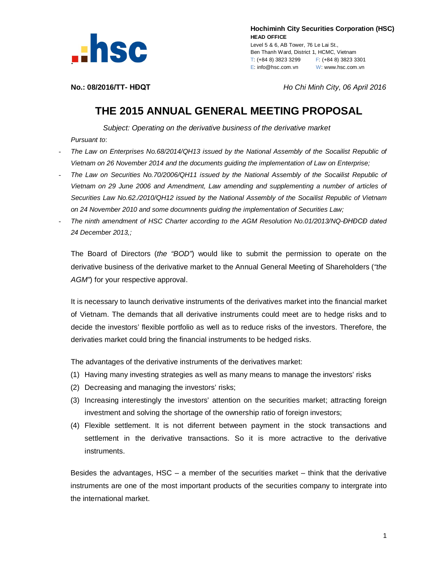

 **Hochiminh City Securities Corporation (HSC) HEAD OFFICE**

Level 5 & 6, AB Tower, 76 Le Lai St., Ben Thanh Ward, District 1, HCMC, Vietnam T: (+84 8) 3823 3299 F: (+84 8) 3823 3301 E: info@hsc.com.vn W: www.hsc.com.vn

**No.: 08/2016/TT- HĐQT** *Ho Chi Minh City, 06 April 2016*

## **THE 2015 ANNUAL GENERAL MEETING PROPOSAL**

*Subject: Operating on the derivative business of the derivative market Pursuant to*:

- *The Law on Enterprises No.68/2014/QH13 issued by the National Assembly of the Socailist Republic of Vietnam on 26 November 2014 and the documents guiding the implementation of Law on Enterprise;*
- *The Law on Securities No.70/2006/QH11 issued by the National Assembly of the Socailist Republic of Vietnam on 29 June 2006 and Amendment, Law amending and supplementing a number of articles of Securities Law No.62./2010/QH12 issued by the National Assembly of the Socailist Republic of Vietnam on 24 November 2010 and some documnents guiding the implementation of Securities Law;*
- *The ninth amendment of HSC Charter according to the AGM Resolution No.01/2013/NQ-ĐHĐCĐ dated 24 December 2013,;*

The Board of Directors (*the "BOD"*) would like to submit the permission to operate on the derivative business of the derivative market to the Annual General Meeting of Shareholders (*"the AGM"*) for your respective approval.

It is necessary to launch derivative instruments of the derivatives market into the financial market of Vietnam. The demands that all derivative instruments could meet are to hedge risks and to decide the investors' flexible portfolio as well as to reduce risks of the investors. Therefore, the derivaties market could bring the financial instruments to be hedged risks.

The advantages of the derivative instruments of the derivatives market:

- (1) Having many investing strategies as well as many means to manage the investors' risks
- (2) Decreasing and managing the investors' risks;
- (3) Increasing interestingly the investors' attention on the securities market; attracting foreign investment and solving the shortage of the ownership ratio of foreign investors;
- (4) Flexible settlement. It is not diferrent between payment in the stock transactions and settlement in the derivative transactions. So it is more actractive to the derivative instruments.

Besides the advantages,  $HSC - a$  member of the securities market – think that the derivative instruments are one of the most important products of the securities company to intergrate into the international market.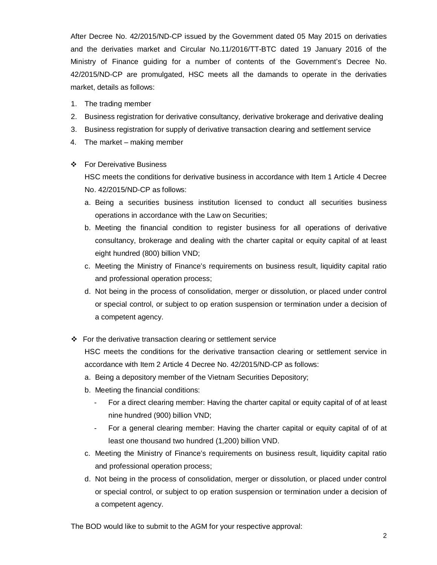After Decree No. 42/2015/ND-CP issued by the Government dated 05 May 2015 on derivaties and the derivaties market and Circular No.11/2016/TT-BTC dated 19 January 2016 of the Ministry of Finance guiding for a number of contents of the Government's Decree No. 42/2015/ND-CP are promulgated, HSC meets all the damands to operate in the derivaties market, details as follows:

- 1. The trading member
- 2. Business registration for derivative consultancy, derivative brokerage and derivative dealing
- 3. Business registration for supply of derivative transaction clearing and settlement service
- 4. The market making member

## For Dereivative Business

HSC meets the conditions for derivative business in accordance with Item 1 Article 4 Decree No. 42/2015/ND-CP as follows:

- a. Being a securities business institution licensed to conduct all securities business operations in accordance with the Law on Securities;
- b. Meeting the financial condition to register business for all operations of derivative consultancy, brokerage and dealing with the charter capital or equity capital of at least eight hundred (800) billion VND;
- c. Meeting the Ministry of Finance's requirements on business result, liquidity capital ratio and professional operation process;
- d. Not being in the process of consolidation, merger or dissolution, or placed under control or special control, or subject to op eration suspension or termination under a decision of a competent agency.
- $\div$  For the derivative transaction clearing or settlement service

HSC meets the conditions for the derivative transaction clearing or settlement service in accordance with Item 2 Article 4 Decree No. 42/2015/ND-CP as follows:

- a. Being a depository member of the Vietnam Securities Depository;
- b. Meeting the financial conditions:
	- For a direct clearing member: Having the charter capital or equity capital of of at least nine hundred (900) billion VND;
	- For a general clearing member: Having the charter capital or equity capital of of at least one thousand two hundred (1,200) billion VND.
- c. Meeting the Ministry of Finance's requirements on business result, liquidity capital ratio and professional operation process;
- d. Not being in the process of consolidation, merger or dissolution, or placed under control or special control, or subject to op eration suspension or termination under a decision of a competent agency.

The BOD would like to submit to the AGM for your respective approval: